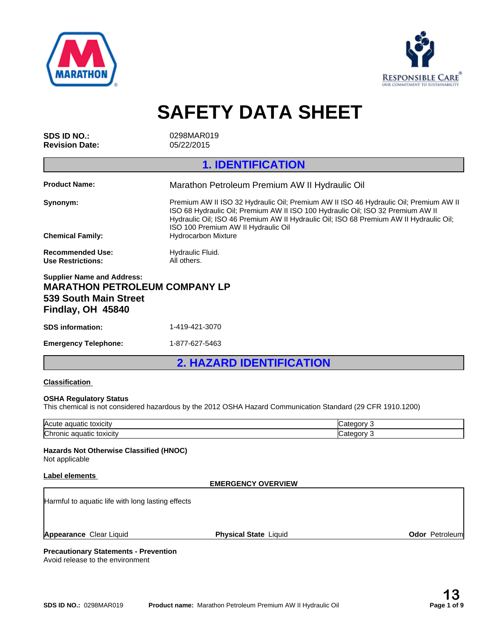



**SAFETY DATA SHEET**

**Revision Date:** 05/22/2015

**SDS ID NO.:** 0298MAR019

# **1. IDENTIFICATION**

| <b>Product Name:</b>                                                                                                    | Marathon Petroleum Premium AW II Hydraulic Oil                                                                                                                                                                                                                                                                                          |
|-------------------------------------------------------------------------------------------------------------------------|-----------------------------------------------------------------------------------------------------------------------------------------------------------------------------------------------------------------------------------------------------------------------------------------------------------------------------------------|
| Synonym:<br><b>Chemical Family:</b>                                                                                     | Premium AW II ISO 32 Hydraulic Oil: Premium AW II ISO 46 Hydraulic Oil: Premium AW II<br>ISO 68 Hydraulic Oil; Premium AW II ISO 100 Hydraulic Oil; ISO 32 Premium AW II<br>Hydraulic Oil; ISO 46 Premium AW II Hydraulic Oil; ISO 68 Premium AW II Hydraulic Oil;<br>ISO 100 Premium AW II Hydraulic Oil<br><b>Hydrocarbon Mixture</b> |
|                                                                                                                         |                                                                                                                                                                                                                                                                                                                                         |
| <b>Recommended Use:</b><br>Use Restrictions:                                                                            | Hydraulic Fluid.<br>All others.                                                                                                                                                                                                                                                                                                         |
| <b>Supplier Name and Address:</b><br><b>MARATHON PETROLEUM COMPANY LP</b><br>539 South Main Street<br>Findlay, OH 45840 |                                                                                                                                                                                                                                                                                                                                         |

| <b>SDS</b> information:     | 1-419-421-3070 |
|-----------------------------|----------------|
| <b>Emergency Telephone:</b> | 1-877-627-5463 |

**2. HAZARD IDENTIFICATION**

### **Classification**

### **OSHA Regulatory Status**

This chemical is not considered hazardous by the 2012 OSHA Hazard Communication Standard (29 CFR 1910.1200)

| Acute<br>ำ ลαเม<br>CП                     |   |
|-------------------------------------------|---|
| ∽<br>toxicity<br>uatic<br>аог<br>ாம<br>ഡ⊪ | и |

### **Hazards Not Otherwise Classified (HNOC)**

Not applicable

### **Label elements**

### **EMERGENCY OVERVIEW**

Harmful to aquatic life with long lasting effects

**Appearance** Clear Liquid

**Physical State Liquid Construction Construction Construction Construction Construction Construction Construction Construction Construction Construction Construction Construction Construction Construction Construction Cons** 

### **Precautionary Statements - Prevention** Avoid release to the environment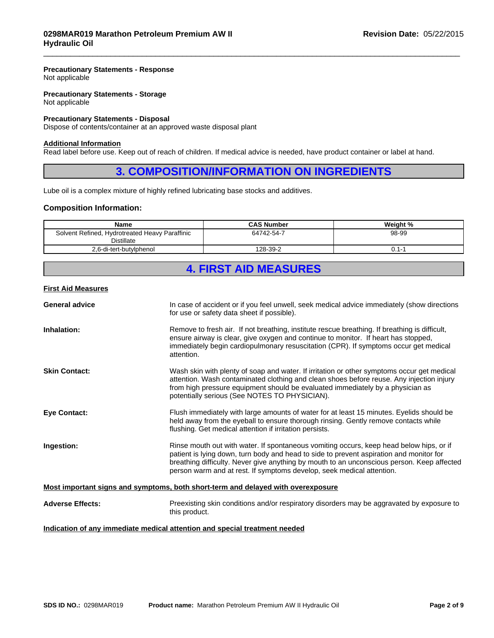### **Precautionary Statements - Response** Not applicable

**Precautionary Statements - Storage** Not applicable

### **Precautionary Statements - Disposal**

Dispose of contents/container at an approved waste disposal plant

### **Additional Information**

Read label before use. Keep out of reach of children. If medical advice is needed, have product container or label at hand.

## **3. COMPOSITION/INFORMATION ON INGREDIENTS**

 $\overline{\phantom{a}}$  ,  $\overline{\phantom{a}}$  ,  $\overline{\phantom{a}}$  ,  $\overline{\phantom{a}}$  ,  $\overline{\phantom{a}}$  ,  $\overline{\phantom{a}}$  ,  $\overline{\phantom{a}}$  ,  $\overline{\phantom{a}}$  ,  $\overline{\phantom{a}}$  ,  $\overline{\phantom{a}}$  ,  $\overline{\phantom{a}}$  ,  $\overline{\phantom{a}}$  ,  $\overline{\phantom{a}}$  ,  $\overline{\phantom{a}}$  ,  $\overline{\phantom{a}}$  ,  $\overline{\phantom{a}}$ 

Lube oil is a complex mixture of highly refined lubricating base stocks and additives.

### **Composition Information:**

| Name                                                         | <b>CAS Number</b> | Weight % |
|--------------------------------------------------------------|-------------------|----------|
| Solvent Refined, Hydrotreated Heavy Paraffinic<br>Distillate | 64742-54-7        | 98-99    |
| 2.6-di-tert-butylphenol                                      | 128-39-2          | .<br>υ.  |

# **4. FIRST AID MEASURES**

### **First Aid Measures**

| <b>General advice</b>   | In case of accident or if you feel unwell, seek medical advice immediately (show directions<br>for use or safety data sheet if possible).                                                                                                                                                                                                                 |  |  |  |
|-------------------------|-----------------------------------------------------------------------------------------------------------------------------------------------------------------------------------------------------------------------------------------------------------------------------------------------------------------------------------------------------------|--|--|--|
| Inhalation:             | Remove to fresh air. If not breathing, institute rescue breathing. If breathing is difficult,<br>ensure airway is clear, give oxygen and continue to monitor. If heart has stopped,<br>immediately begin cardiopulmonary resuscitation (CPR). If symptoms occur get medical<br>attention.                                                                 |  |  |  |
| <b>Skin Contact:</b>    | Wash skin with plenty of soap and water. If irritation or other symptoms occur get medical<br>attention. Wash contaminated clothing and clean shoes before reuse. Any injection injury<br>from high pressure equipment should be evaluated immediately by a physician as<br>potentially serious (See NOTES TO PHYSICIAN).                                 |  |  |  |
| <b>Eye Contact:</b>     | Flush immediately with large amounts of water for at least 15 minutes. Eyelids should be<br>held away from the eyeball to ensure thorough rinsing. Gently remove contacts while<br>flushing. Get medical attention if irritation persists.                                                                                                                |  |  |  |
| Ingestion:              | Rinse mouth out with water. If spontaneous vomiting occurs, keep head below hips, or if<br>patient is lying down, turn body and head to side to prevent aspiration and monitor for<br>breathing difficulty. Never give anything by mouth to an unconscious person. Keep affected<br>person warm and at rest. If symptoms develop, seek medical attention. |  |  |  |
|                         | Most important signs and symptoms, both short-term and delayed with overexposure                                                                                                                                                                                                                                                                          |  |  |  |
| <b>Adverse Effects:</b> | Preexisting skin conditions and/or respiratory disorders may be aggravated by exposure to<br>this product.                                                                                                                                                                                                                                                |  |  |  |
|                         | Indication of any immediate medical attention and special treatment needed                                                                                                                                                                                                                                                                                |  |  |  |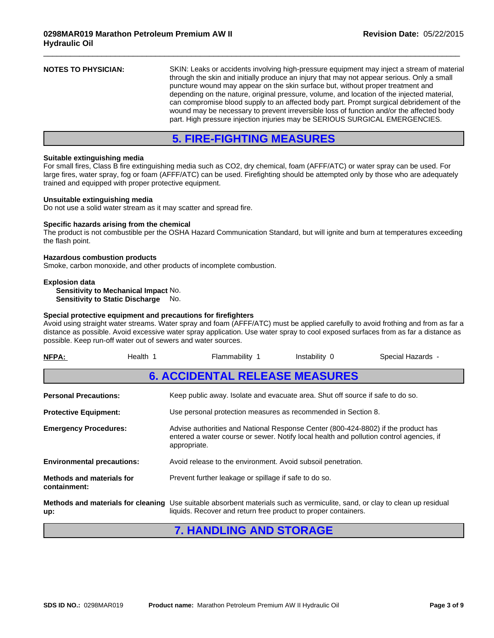|--|

 $\overline{\phantom{a}}$  ,  $\overline{\phantom{a}}$  ,  $\overline{\phantom{a}}$  ,  $\overline{\phantom{a}}$  ,  $\overline{\phantom{a}}$  ,  $\overline{\phantom{a}}$  ,  $\overline{\phantom{a}}$  ,  $\overline{\phantom{a}}$  ,  $\overline{\phantom{a}}$  ,  $\overline{\phantom{a}}$  ,  $\overline{\phantom{a}}$  ,  $\overline{\phantom{a}}$  ,  $\overline{\phantom{a}}$  ,  $\overline{\phantom{a}}$  ,  $\overline{\phantom{a}}$  ,  $\overline{\phantom{a}}$ 

# **5. FIRE-FIGHTING MEASURES**

### **Suitable extinguishing media**

For small fires, Class B fire extinguishing media such as CO2, dry chemical, foam (AFFF/ATC) or water spray can be used. For large fires, water spray, fog or foam (AFFF/ATC) can be used. Firefighting should be attempted only by those who are adequately trained and equipped with proper protective equipment.

### **Unsuitable extinguishing media**

Do not use a solid water stream as it may scatter and spread fire.

### **Specific hazards arising from the chemical**

The product is not combustible per the OSHA Hazard Communication Standard, but will ignite and burn at temperatures exceeding the flash point.

### **Hazardous combustion products**

Smoke, carbon monoxide, and other products of incomplete combustion.

### **Explosion data**

**Sensitivity to Mechanical Impact** No. **Sensitivity to Static Discharge** No.

### **Special protective equipment and precautions for firefighters**

Avoid using straight water streams. Water spray and foam (AFFF/ATC) must be applied carefully to avoid frothing and from as far a distance as possible. Avoid excessive water spray application. Use water spray to cool exposed surfaces from as far a distance as possible. Keep run-off water out of sewers and water sources.

| NFPA:                                     | Health 1 | Flammability 1                                                                                                                                                                                | Instability 0 | Special Hazards - |  |  |
|-------------------------------------------|----------|-----------------------------------------------------------------------------------------------------------------------------------------------------------------------------------------------|---------------|-------------------|--|--|
|                                           |          | <b>6. ACCIDENTAL RELEASE MEASURES</b>                                                                                                                                                         |               |                   |  |  |
| <b>Personal Precautions:</b>              |          | Keep public away. Isolate and evacuate area. Shut off source if safe to do so.                                                                                                                |               |                   |  |  |
| <b>Protective Equipment:</b>              |          | Use personal protection measures as recommended in Section 8.                                                                                                                                 |               |                   |  |  |
| <b>Emergency Procedures:</b>              |          | Advise authorities and National Response Center (800-424-8802) if the product has<br>entered a water course or sewer. Notify local health and pollution control agencies, if<br>appropriate.  |               |                   |  |  |
| <b>Environmental precautions:</b>         |          | Avoid release to the environment. Avoid subsoil penetration.                                                                                                                                  |               |                   |  |  |
| Methods and materials for<br>containment: |          | Prevent further leakage or spillage if safe to do so.                                                                                                                                         |               |                   |  |  |
| up:                                       |          | Methods and materials for cleaning Use suitable absorbent materials such as vermiculite, sand, or clay to clean up residual<br>liquids. Recover and return free product to proper containers. |               |                   |  |  |

## **7. HANDLING AND STORAGE**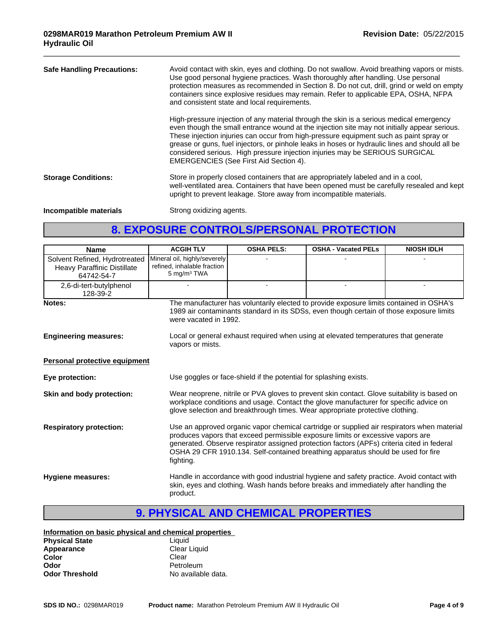| <b>Safe Handling Precautions:</b> | Avoid contact with skin, eyes and clothing. Do not swallow. Avoid breathing vapors or mists.<br>Use good personal hygiene practices. Wash thoroughly after handling. Use personal<br>protection measures as recommended in Section 8. Do not cut, drill, grind or weld on empty<br>containers since explosive residues may remain. Refer to applicable EPA, OSHA, NFPA<br>and consistent state and local requirements.                                                                                        |  |  |
|-----------------------------------|---------------------------------------------------------------------------------------------------------------------------------------------------------------------------------------------------------------------------------------------------------------------------------------------------------------------------------------------------------------------------------------------------------------------------------------------------------------------------------------------------------------|--|--|
|                                   | High-pressure injection of any material through the skin is a serious medical emergency<br>even though the small entrance wound at the injection site may not initially appear serious.<br>These injection injuries can occur from high-pressure equipment such as paint spray or<br>grease or guns, fuel injectors, or pinhole leaks in hoses or hydraulic lines and should all be<br>considered serious. High pressure injection injuries may be SERIOUS SURGICAL<br>EMERGENCIES (See First Aid Section 4). |  |  |
| <b>Storage Conditions:</b>        | Store in properly closed containers that are appropriately labeled and in a cool,<br>well-ventilated area. Containers that have been opened must be carefully resealed and kept<br>upright to prevent leakage. Store away from incompatible materials.                                                                                                                                                                                                                                                        |  |  |
| Incompatible materials            | Strong oxidizing agents.                                                                                                                                                                                                                                                                                                                                                                                                                                                                                      |  |  |

 $\overline{\phantom{a}}$  ,  $\overline{\phantom{a}}$  ,  $\overline{\phantom{a}}$  ,  $\overline{\phantom{a}}$  ,  $\overline{\phantom{a}}$  ,  $\overline{\phantom{a}}$  ,  $\overline{\phantom{a}}$  ,  $\overline{\phantom{a}}$  ,  $\overline{\phantom{a}}$  ,  $\overline{\phantom{a}}$  ,  $\overline{\phantom{a}}$  ,  $\overline{\phantom{a}}$  ,  $\overline{\phantom{a}}$  ,  $\overline{\phantom{a}}$  ,  $\overline{\phantom{a}}$  ,  $\overline{\phantom{a}}$ 

# **8. EXPOSURE CONTROLS/PERSONAL PROTECTION**

| <b>Name</b>                                                                | <b>ACGIH TLV</b>                                                                                                                                                                                                                                                                                                                                                             | <b>OSHA PELS:</b>                                                                                                                                                                 | <b>OSHA - Vacated PELs</b>                                                                                                                                                          | <b>NIOSH IDLH</b> |  |
|----------------------------------------------------------------------------|------------------------------------------------------------------------------------------------------------------------------------------------------------------------------------------------------------------------------------------------------------------------------------------------------------------------------------------------------------------------------|-----------------------------------------------------------------------------------------------------------------------------------------------------------------------------------|-------------------------------------------------------------------------------------------------------------------------------------------------------------------------------------|-------------------|--|
| Solvent Refined, Hydrotreated<br>Heavy Paraffinic Distillate<br>64742-54-7 | Mineral oil, highly/severely<br>refined, inhalable fraction<br>5 mg/m <sup>3</sup> TWA                                                                                                                                                                                                                                                                                       |                                                                                                                                                                                   |                                                                                                                                                                                     |                   |  |
| 2,6-di-tert-butylphenol<br>128-39-2                                        |                                                                                                                                                                                                                                                                                                                                                                              |                                                                                                                                                                                   |                                                                                                                                                                                     |                   |  |
| Notes:                                                                     | were vacated in 1992.                                                                                                                                                                                                                                                                                                                                                        |                                                                                                                                                                                   | The manufacturer has voluntarily elected to provide exposure limits contained in OSHA's<br>1989 air contaminants standard in its SDSs, even though certain of those exposure limits |                   |  |
| <b>Engineering measures:</b>                                               | vapors or mists.                                                                                                                                                                                                                                                                                                                                                             | Local or general exhaust required when using at elevated temperatures that generate                                                                                               |                                                                                                                                                                                     |                   |  |
| Personal protective equipment                                              |                                                                                                                                                                                                                                                                                                                                                                              |                                                                                                                                                                                   |                                                                                                                                                                                     |                   |  |
| Eye protection:                                                            | Use goggles or face-shield if the potential for splashing exists.                                                                                                                                                                                                                                                                                                            |                                                                                                                                                                                   |                                                                                                                                                                                     |                   |  |
| Skin and body protection:                                                  | Wear neoprene, nitrile or PVA gloves to prevent skin contact. Glove suitability is based on<br>workplace conditions and usage. Contact the glove manufacturer for specific advice on<br>glove selection and breakthrough times. Wear appropriate protective clothing.                                                                                                        |                                                                                                                                                                                   |                                                                                                                                                                                     |                   |  |
| <b>Respiratory protection:</b>                                             | Use an approved organic vapor chemical cartridge or supplied air respirators when material<br>produces vapors that exceed permissible exposure limits or excessive vapors are<br>generated. Observe respirator assigned protection factors (APFs) criteria cited in federal<br>OSHA 29 CFR 1910.134. Self-contained breathing apparatus should be used for fire<br>fighting. |                                                                                                                                                                                   |                                                                                                                                                                                     |                   |  |
| Hygiene measures:                                                          | product.                                                                                                                                                                                                                                                                                                                                                                     | Handle in accordance with good industrial hygiene and safety practice. Avoid contact with<br>skin, eyes and clothing. Wash hands before breaks and immediately after handling the |                                                                                                                                                                                     |                   |  |

# **9. PHYSICAL AND CHEMICAL PROPERTIES**

### **Information on basic physical and chemical properties**

| <b>Physical State</b> | Liauid             |
|-----------------------|--------------------|
| Appearance            | Clear Liquid       |
| Color                 | Clear              |
| Odor                  | Petroleum          |
| <b>Odor Threshold</b> | No available data. |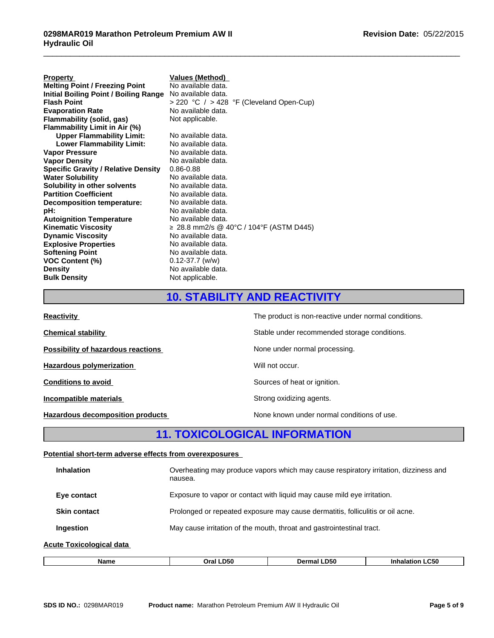| <b>Property</b>                            | <b>Values (Method)</b>                         |
|--------------------------------------------|------------------------------------------------|
| <b>Melting Point / Freezing Point</b>      | No available data.                             |
| Initial Boiling Point / Boiling Range      | No available data.                             |
| <b>Flash Point</b>                         | $>$ 220 °C $/$ $>$ 428 °F (Cleveland Open-Cup) |
| <b>Evaporation Rate</b>                    | No available data.                             |
| Flammability (solid, gas)                  | Not applicable.                                |
| Flammability Limit in Air (%)              |                                                |
| <b>Upper Flammability Limit:</b>           | No available data.                             |
| <b>Lower Flammability Limit:</b>           | No available data.                             |
| <b>Vapor Pressure</b>                      | No available data.                             |
| <b>Vapor Density</b>                       | No available data.                             |
| <b>Specific Gravity / Relative Density</b> | $0.86 - 0.88$                                  |
| <b>Water Solubility</b>                    | No available data.                             |
| Solubility in other solvents               | No available data.                             |
| <b>Partition Coefficient</b>               | No available data.                             |
| Decomposition temperature:                 | No available data.                             |
| pH:                                        | No available data.                             |
| <b>Autoignition Temperature</b>            | No available data.                             |
| <b>Kinematic Viscosity</b>                 | ≥ 28.8 mm2/s @ 40°C / 104°F (ASTM D445)        |
| <b>Dynamic Viscosity</b>                   | No available data.                             |
| <b>Explosive Properties</b>                | No available data.                             |
| <b>Softening Point</b>                     | No available data.                             |
| <b>VOC Content (%)</b>                     | $0.12 - 37.7$ (w/w)                            |
| <b>Density</b>                             | No available data.                             |
| <b>Bulk Density</b>                        | Not applicable.                                |

# **10. STABILITY AND REACTIVITY**

 $\overline{\phantom{a}}$  ,  $\overline{\phantom{a}}$  ,  $\overline{\phantom{a}}$  ,  $\overline{\phantom{a}}$  ,  $\overline{\phantom{a}}$  ,  $\overline{\phantom{a}}$  ,  $\overline{\phantom{a}}$  ,  $\overline{\phantom{a}}$  ,  $\overline{\phantom{a}}$  ,  $\overline{\phantom{a}}$  ,  $\overline{\phantom{a}}$  ,  $\overline{\phantom{a}}$  ,  $\overline{\phantom{a}}$  ,  $\overline{\phantom{a}}$  ,  $\overline{\phantom{a}}$  ,  $\overline{\phantom{a}}$ 

| <b>Reactivity</b>                         | The product is non-reactive under normal conditions. |
|-------------------------------------------|------------------------------------------------------|
| <b>Chemical stability</b>                 | Stable under recommended storage conditions.         |
| <b>Possibility of hazardous reactions</b> | None under normal processing.                        |
| Hazardous polymerization                  | Will not occur.                                      |
| <b>Conditions to avoid</b>                | Sources of heat or ignition.                         |
| Incompatible materials                    | Strong oxidizing agents.                             |
| Hazardous decomposition products          | None known under normal conditions of use.           |

# **11. TOXICOLOGICAL INFORMATION**

### **Potential short-term adverse effects from overexposures**

| <b>Inhalation</b>        | Overheating may produce vapors which may cause respiratory irritation, dizziness and<br>nausea. |
|--------------------------|-------------------------------------------------------------------------------------------------|
| Eye contact              | Exposure to vapor or contact with liquid may cause mild eye irritation.                         |
| <b>Skin contact</b>      | Prolonged or repeated exposure may cause dermatitis, folliculitis or oil acne.                  |
| <b>Ingestion</b>         | May cause irritation of the mouth, throat and gastrointestinal tract.                           |
| Acute Toxicological data |                                                                                                 |
|                          |                                                                                                 |

| Name | D51.<br>−ъ. | D50<br>DΑ | C50<br>In |
|------|-------------|-----------|-----------|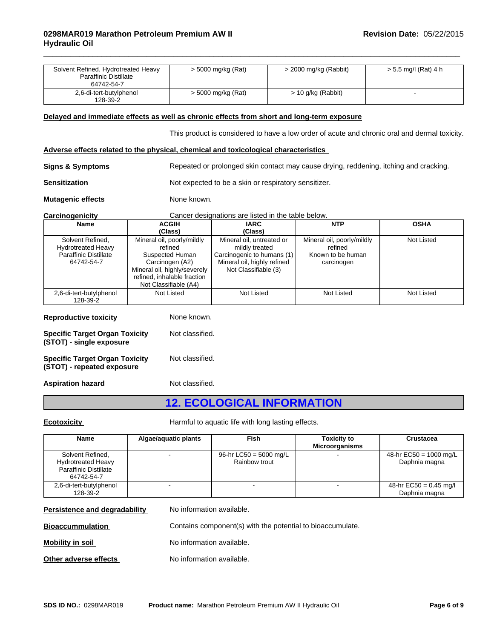| Solvent Refined, Hydrotreated Heavy<br><b>Paraffinic Distillate</b><br>64742-54-7           |                                                                                                                                                                     | > 5000 mg/kg (Rat)                                                                                                               | > 2000 mg/kg (Rabbit)                                                                         | $> 5.5$ mg/l (Rat) 4 h |
|---------------------------------------------------------------------------------------------|---------------------------------------------------------------------------------------------------------------------------------------------------------------------|----------------------------------------------------------------------------------------------------------------------------------|-----------------------------------------------------------------------------------------------|------------------------|
| 2,6-di-tert-butylphenol<br>128-39-2                                                         |                                                                                                                                                                     | > 5000 mg/kg (Rat)                                                                                                               | $> 10$ g/kg (Rabbit)                                                                          |                        |
| Delayed and immediate effects as well as chronic effects from short and long-term exposure  |                                                                                                                                                                     |                                                                                                                                  |                                                                                               |                        |
|                                                                                             |                                                                                                                                                                     |                                                                                                                                  | This product is considered to have a low order of acute and chronic oral and dermal toxicity. |                        |
| Adverse effects related to the physical, chemical and toxicological characteristics         |                                                                                                                                                                     |                                                                                                                                  |                                                                                               |                        |
| <b>Signs &amp; Symptoms</b>                                                                 |                                                                                                                                                                     |                                                                                                                                  | Repeated or prolonged skin contact may cause drying, reddening, itching and cracking.         |                        |
| <b>Sensitization</b>                                                                        |                                                                                                                                                                     | Not expected to be a skin or respiratory sensitizer.                                                                             |                                                                                               |                        |
| <b>Mutagenic effects</b>                                                                    |                                                                                                                                                                     | None known.                                                                                                                      |                                                                                               |                        |
| Carcinogenicity                                                                             |                                                                                                                                                                     | Cancer designations are listed in the table below.                                                                               |                                                                                               |                        |
| <b>Name</b>                                                                                 | <b>ACGIH</b><br>(Class)                                                                                                                                             | <b>IARC</b><br>(Class)                                                                                                           | <b>NTP</b>                                                                                    | <b>OSHA</b>            |
| Solvent Refined,<br><b>Hydrotreated Heavy</b><br><b>Paraffinic Distillate</b><br>64742-54-7 | Mineral oil, poorly/mildly<br>refined<br>Suspected Human<br>Carcinogen (A2)<br>Mineral oil, highly/severely<br>refined, inhalable fraction<br>Not Classifiable (A4) | Mineral oil, untreated or<br>mildly treated<br>Carcinogenic to humans (1)<br>Mineral oil, highly refined<br>Not Classifiable (3) | Mineral oil, poorly/mildly<br>refined<br>Known to be human<br>carcinogen                      | <b>Not Listed</b>      |
| 2,6-di-tert-butylphenol<br>128-39-2                                                         | Not Listed                                                                                                                                                          | <b>Not Listed</b>                                                                                                                | Not Listed                                                                                    | Not Listed             |
| <b>Reproductive toxicity</b>                                                                |                                                                                                                                                                     | None known.                                                                                                                      |                                                                                               |                        |
| <b>Specific Target Organ Toxicity</b><br>(STOT) - single exposure                           |                                                                                                                                                                     | Not classified.                                                                                                                  |                                                                                               |                        |
| <b>Specific Target Organ Toxicity</b><br>(STOT) - repeated exposure                         |                                                                                                                                                                     | Not classified.                                                                                                                  |                                                                                               |                        |

 $\overline{\phantom{a}}$  ,  $\overline{\phantom{a}}$  ,  $\overline{\phantom{a}}$  ,  $\overline{\phantom{a}}$  ,  $\overline{\phantom{a}}$  ,  $\overline{\phantom{a}}$  ,  $\overline{\phantom{a}}$  ,  $\overline{\phantom{a}}$  ,  $\overline{\phantom{a}}$  ,  $\overline{\phantom{a}}$  ,  $\overline{\phantom{a}}$  ,  $\overline{\phantom{a}}$  ,  $\overline{\phantom{a}}$  ,  $\overline{\phantom{a}}$  ,  $\overline{\phantom{a}}$  ,  $\overline{\phantom{a}}$ 

Aspiration hazard **Not classified.** 

# **12. ECOLOGICAL INFORMATION**

**Ecotoxicity Harmful to aquatic life with long lasting effects.** 

| <b>Name</b>                                                                                 | Algae/aguatic plants | Fish                                    | <b>Toxicity to</b><br><b>Microorganisms</b> | <b>Crustacea</b>                          |
|---------------------------------------------------------------------------------------------|----------------------|-----------------------------------------|---------------------------------------------|-------------------------------------------|
| Solvent Refined,<br><b>Hydrotreated Heavy</b><br><b>Paraffinic Distillate</b><br>64742-54-7 |                      | 96-hr LC50 = 5000 mg/L<br>Rainbow trout |                                             | 48-hr $EC50 = 1000$ mg/L<br>Daphnia magna |
| 2,6-di-tert-butylphenol<br>128-39-2                                                         |                      |                                         |                                             | 48-hr $EC50 = 0.45$ mg/l<br>Daphnia magna |

**Persistence and degradability** No information available.

**Bioaccummulation Contains component(s)** with the potential to bioaccumulate.

**Mobility in soil Mobility in solution No information available.** 

**Other adverse effects** 

No information available.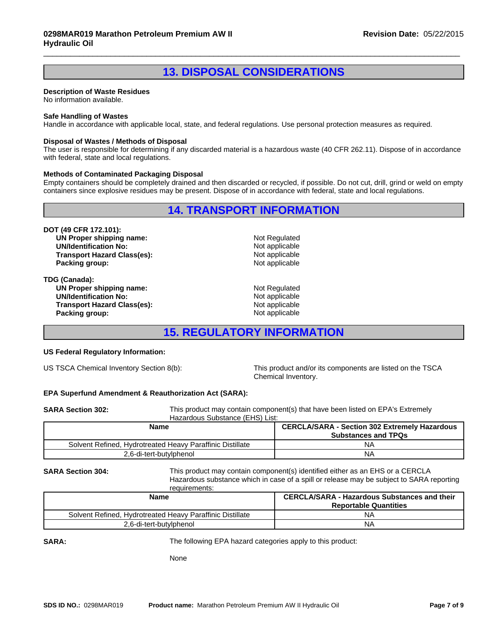# **13. DISPOSAL CONSIDERATIONS**

 $\overline{\phantom{a}}$  ,  $\overline{\phantom{a}}$  ,  $\overline{\phantom{a}}$  ,  $\overline{\phantom{a}}$  ,  $\overline{\phantom{a}}$  ,  $\overline{\phantom{a}}$  ,  $\overline{\phantom{a}}$  ,  $\overline{\phantom{a}}$  ,  $\overline{\phantom{a}}$  ,  $\overline{\phantom{a}}$  ,  $\overline{\phantom{a}}$  ,  $\overline{\phantom{a}}$  ,  $\overline{\phantom{a}}$  ,  $\overline{\phantom{a}}$  ,  $\overline{\phantom{a}}$  ,  $\overline{\phantom{a}}$ 

### **Description of Waste Residues**

No information available.

### **Safe Handling of Wastes**

Handle in accordance with applicable local, state, and federal regulations. Use personal protection measures as required.

### **Disposal of Wastes / Methods of Disposal**

The user is responsible for determining if any discarded material is a hazardous waste (40 CFR 262.11). Dispose of in accordance with federal, state and local regulations.

### **Methods of Contaminated Packaging Disposal**

Empty containers should be completely drained and then discarded or recycled, if possible. Do not cut, drill, grind or weld on empty containers since explosive residues may be present. Dispose of in accordance with federal, state and local regulations.

**14. TRANSPORT INFORMATION**

**DOT (49 CFR 172.101): UN Proper shipping name:** Not Regulated **UN/Identification No:** Not applicable **Transport Hazard Class(es):** Not applicable has expected a set of the set of the set of the product of the Packin<br>
Packing aroup: Not applicable **Packing group:** 

**TDG (Canada): UN Proper shipping name:** Not Regulated UN/Identification No: Not Regulated UN/Identification No: **UN/Identification No:** Not applicable in the Second Water of the Not applicable in the Transport Hazard Class(es): **Transport Hazard Class(es):** Not applicable has expected a set of a set of a set of a set of a set of a set of a<br>Packing aroup: Not applicable **Packing group:** 

## **15. REGULATORY INFORMATION**

### **US Federal Regulatory Information:**

US TSCA Chemical Inventory Section 8(b): This product and/or its components are listed on the TSCA Chemical Inventory.

### **EPA Superfund Amendment & Reauthorization Act (SARA):**

| <b>SARA Section 302:</b> |                                 | This product may contain component(s) that have been listed on EPA's Extremely |
|--------------------------|---------------------------------|--------------------------------------------------------------------------------|
|                          | Hazardous Substance (EHS) List: |                                                                                |
|                          | <b>Marco</b>                    | <b>OFBOLAIOABA</b> Ossilan 000 Faircracha Heronderre                           |

| Name                                                      | <b>CERCLA/SARA - Section 302 Extremely Hazardous</b><br><b>Substances and TPQs</b> |  |
|-----------------------------------------------------------|------------------------------------------------------------------------------------|--|
| Solvent Refined. Hydrotreated Heavy Paraffinic Distillate | N۵                                                                                 |  |
| 2,6-di-tert-butylphenol                                   | N۵                                                                                 |  |

**SARA Section 304:** This product may contain component(s) identified either as an EHS or a CERCLA Hazardous substance which in case of a spill or release may be subject to SARA reporting requirements:

| Name                                                      | <b>CERCLA/SARA - Hazardous Substances and their</b><br><b>Reportable Quantities</b> |
|-----------------------------------------------------------|-------------------------------------------------------------------------------------|
| Solvent Refined, Hydrotreated Heavy Paraffinic Distillate | NΑ                                                                                  |
| 2,6-di-tert-butylphenol                                   | NΑ                                                                                  |

**SARA:**

The following EPA hazard categories apply to this product:

None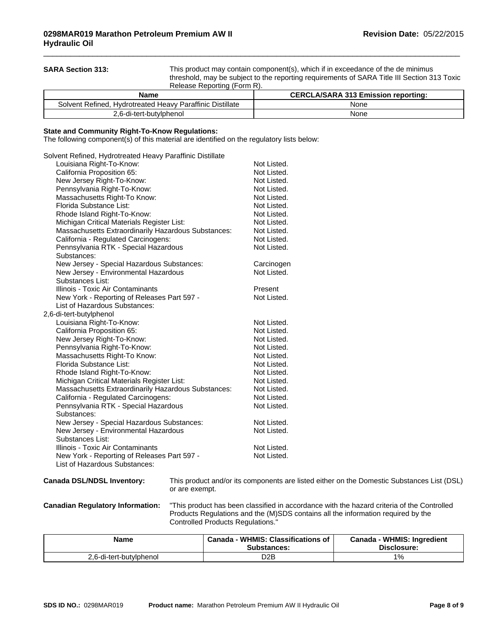**SARA Section 313:** This product may contain component(s), which if in exceedance of the de minimus threshold, may be subject to the reporting requirements of SARA Title III Section 313 Toxic Release Reporting (Form R).

 $\overline{\phantom{a}}$  ,  $\overline{\phantom{a}}$  ,  $\overline{\phantom{a}}$  ,  $\overline{\phantom{a}}$  ,  $\overline{\phantom{a}}$  ,  $\overline{\phantom{a}}$  ,  $\overline{\phantom{a}}$  ,  $\overline{\phantom{a}}$  ,  $\overline{\phantom{a}}$  ,  $\overline{\phantom{a}}$  ,  $\overline{\phantom{a}}$  ,  $\overline{\phantom{a}}$  ,  $\overline{\phantom{a}}$  ,  $\overline{\phantom{a}}$  ,  $\overline{\phantom{a}}$  ,  $\overline{\phantom{a}}$ 

| Name                                                      | <b>CERCLA/SARA 313 Emission reporting:</b> |
|-----------------------------------------------------------|--------------------------------------------|
| Solvent Refined, Hydrotreated Heavy Paraffinic Distillate | None                                       |
| 2.6-di-tert-butylphenol                                   | None                                       |

### **State and Community Right-To-Know Regulations:**

The following component(s) of this material are identified on the regulatory lists below:

| Solvent Refined, Hydrotreated Heavy Paraffinic Distillate |             |
|-----------------------------------------------------------|-------------|
| Louisiana Right-To-Know:                                  | Not Listed. |
| California Proposition 65:                                | Not Listed. |
| New Jersey Right-To-Know:                                 | Not Listed. |
| Pennsylvania Right-To-Know:                               | Not Listed. |
| Massachusetts Right-To Know:                              | Not Listed. |
| Florida Substance List:                                   | Not Listed. |
| Rhode Island Right-To-Know:                               | Not Listed. |
| Michigan Critical Materials Register List:                | Not Listed. |
| Massachusetts Extraordinarily Hazardous Substances:       | Not Listed. |
| California - Regulated Carcinogens:                       | Not Listed. |
| Pennsylvania RTK - Special Hazardous<br>Substances:       | Not Listed. |
| New Jersey - Special Hazardous Substances:                | Carcinogen  |
| New Jersey - Environmental Hazardous                      | Not Listed. |
| Substances List:                                          |             |
| Illinois - Toxic Air Contaminants                         | Present     |
| New York - Reporting of Releases Part 597 -               | Not Listed. |
| List of Hazardous Substances:                             |             |
| 2,6-di-tert-butylphenol                                   |             |
| Louisiana Right-To-Know:                                  | Not Listed. |
| California Proposition 65:                                | Not Listed. |
| New Jersey Right-To-Know:                                 | Not Listed. |
| Pennsylvania Right-To-Know:                               | Not Listed. |
| Massachusetts Right-To Know:                              | Not Listed. |
| Florida Substance List:                                   | Not Listed. |
| Rhode Island Right-To-Know:                               | Not Listed. |
| Michigan Critical Materials Register List:                | Not Listed. |
| Massachusetts Extraordinarily Hazardous Substances:       | Not Listed. |
| California - Regulated Carcinogens:                       | Not Listed. |
| Pennsylvania RTK - Special Hazardous                      | Not Listed. |
| Substances:                                               |             |
| New Jersey - Special Hazardous Substances:                | Not Listed. |
| New Jersey - Environmental Hazardous<br>Substances List:  | Not Listed. |
| Illinois - Toxic Air Contaminants                         | Not Listed. |
| New York - Reporting of Releases Part 597 -               | Not Listed. |
| List of Hazardous Substances:                             |             |

**Canada DSL/NDSL Inventory:** This product and/or its components are listed either on the Domestic Substances List (DSL) or are exempt.

**Canadian Regulatory Information:** "This product has been classified in accordance with the hazard criteria of the Controlled Products Regulations and the (M)SDS contains all the information required by the Controlled Products Regulations."

| <b>Name</b>             | <b>WHMIS: Classifications of</b><br>Canada<br>Substances: | <b>WHMIS: Ingredient</b><br>Canada<br>Disclosure: |
|-------------------------|-----------------------------------------------------------|---------------------------------------------------|
| 2,6-di-tert-butylphenol | D <sub>2</sub> B                                          | 1%                                                |